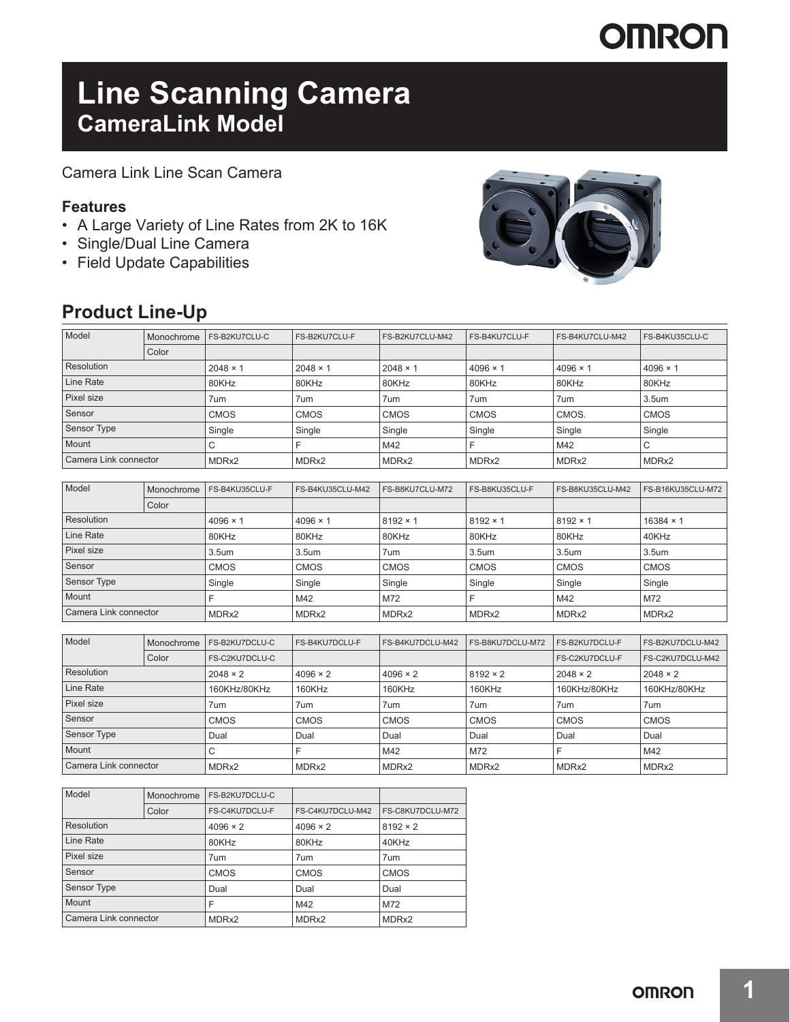# **OMRON**

# **Line Scanning Camera CameraLink Model**

Camera Link Line Scan Camera

### **Features**

- A Large Variety of Line Rates from 2K to 16K
- Single/Dual Line Camera
- Field Update Capabilities

### **Product Line-Up**



| Model                 | Monochrome | FS-B2KU7CLU-C   | FS-B2KU7CLU-F   | FS-B2KU7CLU-M42   | <b>FS-B4KU7CLU-F</b> | FS-B4KU7CLU-M42 | FS-B4KU35CLU-C    |
|-----------------------|------------|-----------------|-----------------|-------------------|----------------------|-----------------|-------------------|
|                       | Color      |                 |                 |                   |                      |                 |                   |
| Resolution            |            | $2048 \times 1$ | $2048 \times 1$ | $2048 \times 1$   | $4096 \times 1$      | $4096 \times 1$ | $4096 \times 1$   |
| Line Rate             |            | 80KHz           | 80KHz           | 80KHz             | 80KHz                | 80KHz           | 80KHz             |
| Pixel size            |            | 7um             | 7um             | 7um               | 7um                  | 7um             | 3.5um             |
| Sensor                |            | <b>CMOS</b>     | <b>CMOS</b>     | <b>CMOS</b>       | <b>CMOS</b>          | CMOS.           | <b>CMOS</b>       |
| Sensor Type           |            | Single          | Single          | Single            | Single               | Single          | Single            |
| Mount                 |            |                 |                 | M42               | ⊏                    | M42             | С                 |
| Camera Link connector |            | MDRx2           | MDRx2           | MDR <sub>x2</sub> | MDRx2                | MDRx2           | MDR <sub>x2</sub> |

| Model                 | Monochrome | FS-B4KU35CLU-F    | FS-B4KU35CLU-M42  | FS-B8KU7CLU-M72   | FS-B8KU35CLU-F    | FS-B8KU35CLU-M42 | FS-B16KU35CLU-M72 |
|-----------------------|------------|-------------------|-------------------|-------------------|-------------------|------------------|-------------------|
|                       | Color      |                   |                   |                   |                   |                  |                   |
| Resolution            |            | $4096 \times 1$   | $4096 \times 1$   | $8192 \times 1$   | $8192 \times 1$   | $8192 \times 1$  | $16384 \times 1$  |
| Line Rate             |            | 80KHz             | 80KHz             | 80KHz             | 80KHz             | 80KHz            | 40KHz             |
| Pixel size            |            | 3.5 <sub>um</sub> | 3.5 <sub>um</sub> | 7um               | 3.5 <sub>um</sub> | 3.5um            | 3.5um             |
| Sensor                |            | <b>CMOS</b>       | <b>CMOS</b>       | <b>CMOS</b>       | <b>CMOS</b>       | <b>CMOS</b>      | <b>CMOS</b>       |
| <b>Sensor Type</b>    |            | Single            | Single            | Single            | Single            | Single           | Single            |
| Mount                 |            |                   | M42               | M72               |                   | M42              | M72               |
| Camera Link connector |            | MDRx2             | MDRx2             | MDR <sub>x2</sub> | MDRx2             | MDRx2            | MDR <sub>x2</sub> |

| Model                 | Monochrome | FS-B2KU7DCLU-C  | <b>FS-B4KU7DCLU-F</b> | FS-B4KU7DCLU-M42 | FS-B8KU7DCLU-M72 | FS-B2KU7DCLU-F        | FS-B2KU7DCLU-M42 |
|-----------------------|------------|-----------------|-----------------------|------------------|------------------|-----------------------|------------------|
|                       | Color      | FS-C2KU7DCLU-C  |                       |                  |                  | <b>FS-C2KU7DCLU-F</b> | FS-C2KU7DCLU-M42 |
| Resolution            |            | $2048 \times 2$ | $4096 \times 2$       | $4096 \times 2$  | $8192 \times 2$  | $2048 \times 2$       | $2048 \times 2$  |
| Line Rate             |            | 160KHz/80KHz    | 160KHz                | 160KHz           | 160KHz           | 160KHz/80KHz          | 160KHz/80KHz     |
| Pixel size            |            | 7um             | 7um                   | 7um              | 7um              | 7um                   | 7um              |
| Sensor                |            | <b>CMOS</b>     | <b>CMOS</b>           | <b>CMOS</b>      | <b>CMOS</b>      | <b>CMOS</b>           | <b>CMOS</b>      |
| Sensor Type           |            | Dual            | Dual                  | Dual             | Dual             | Dual                  | Dual             |
| Mount                 |            | U               |                       | M42              | M72              |                       | M42              |
| Camera Link connector |            | MDRx2           | MDRx2                 | MDRx2            | MDRx2            | MDRx2                 | MDRx2            |

| Model                 | Monochrome | FS-B2KU7DCLU-C  |                  |                   |  |
|-----------------------|------------|-----------------|------------------|-------------------|--|
|                       | Color      | FS-C4KU7DCLU-F  | FS-C4KU7DCLU-M42 | FS-C8KU7DCLU-M72  |  |
| Resolution            |            | $4096 \times 2$ | $4096 \times 2$  | $8192 \times 2$   |  |
| Line Rate             |            | 80KHz           | 80KHz            | 40KHz             |  |
| Pixel size            |            | 7um             | 7um              | 7um               |  |
| Sensor                |            | <b>CMOS</b>     | <b>CMOS</b>      | <b>CMOS</b>       |  |
| <b>Sensor Type</b>    |            | Dual            | Dual             | Dual              |  |
| Mount                 |            | F               | M42              | M72               |  |
| Camera Link connector |            | MDRx2           | MDRx2            | MDR <sub>x2</sub> |  |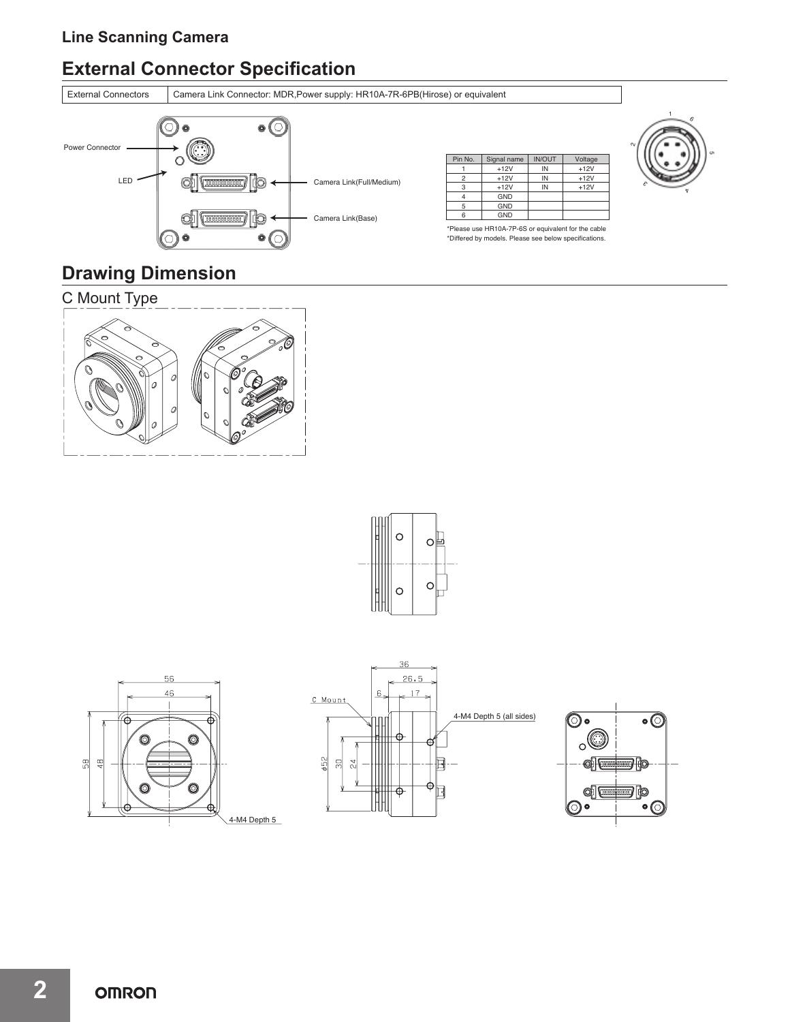### **Line Scanning Camera**

# **External Connector Specification**



### **Drawing Dimension**









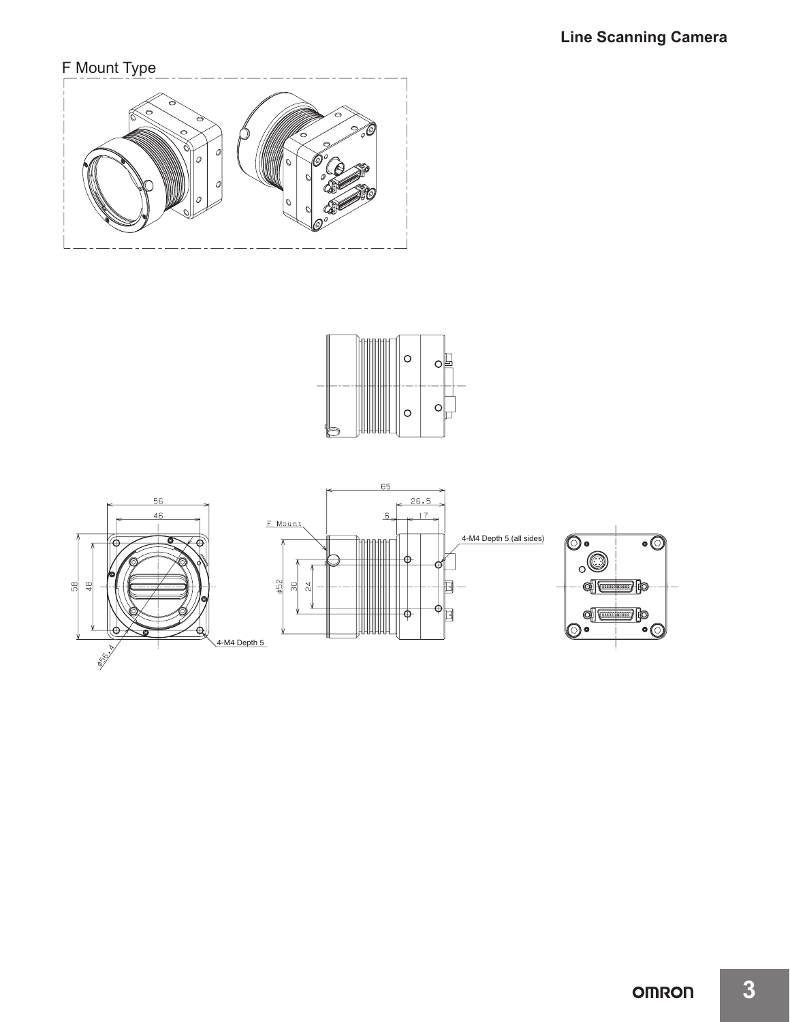## F Mount Type





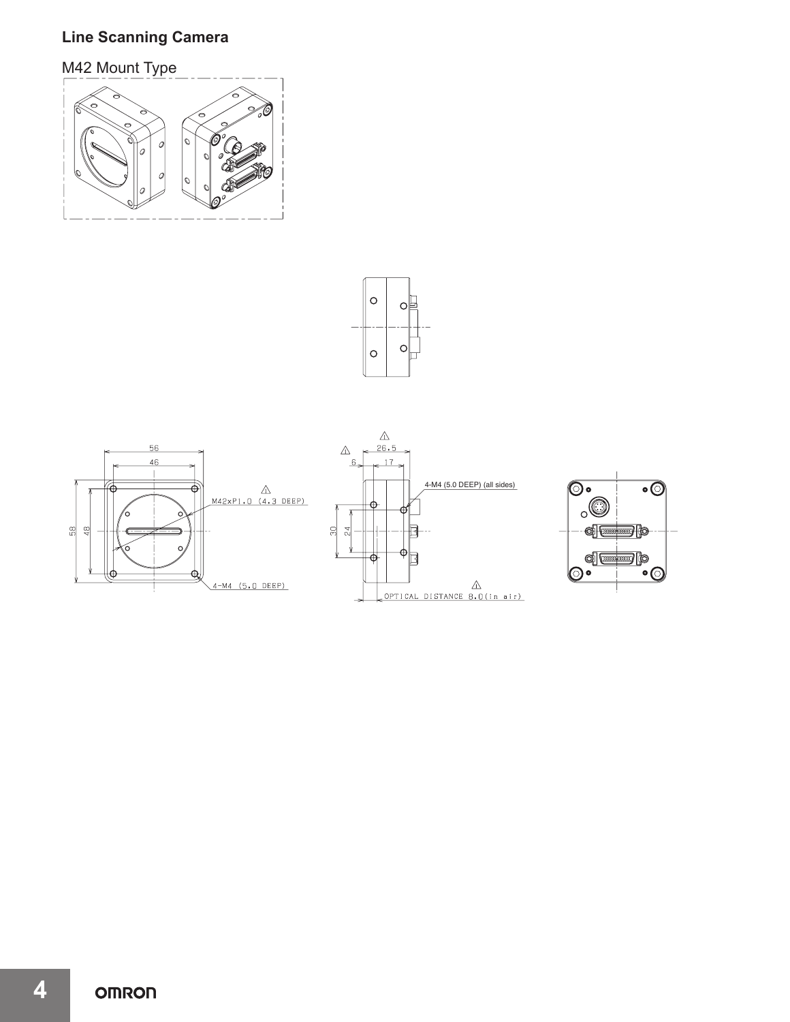### **Line Scanning Camera**

M42 Mount Type









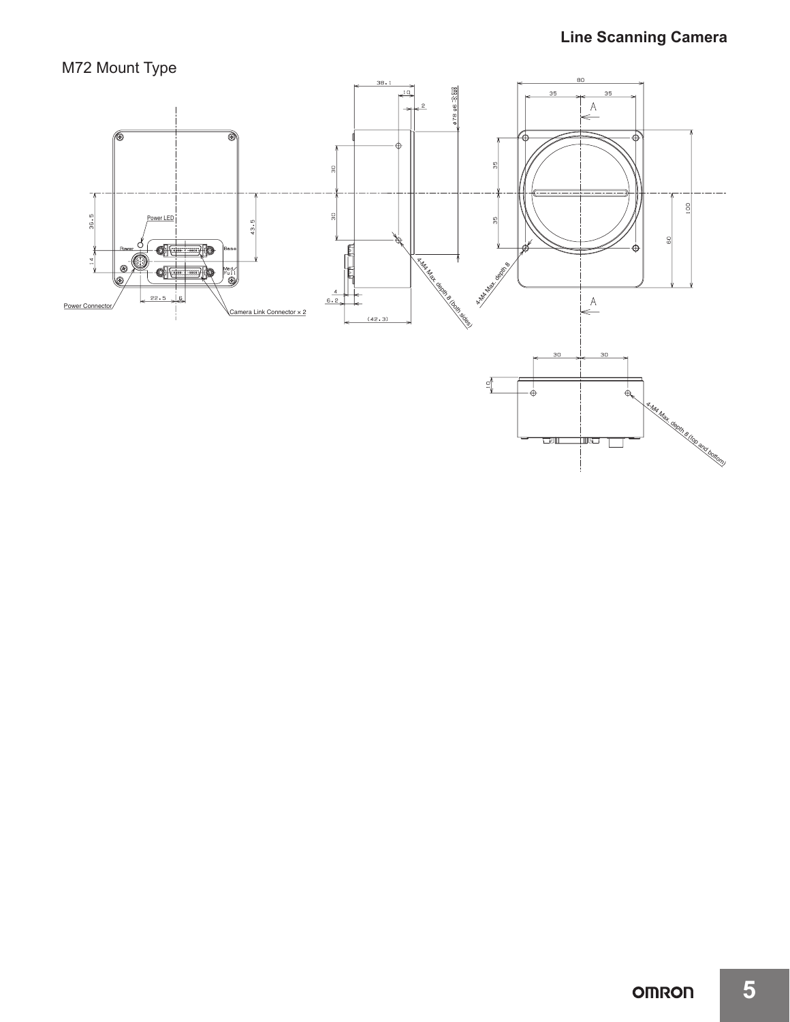## M72 Mount Type